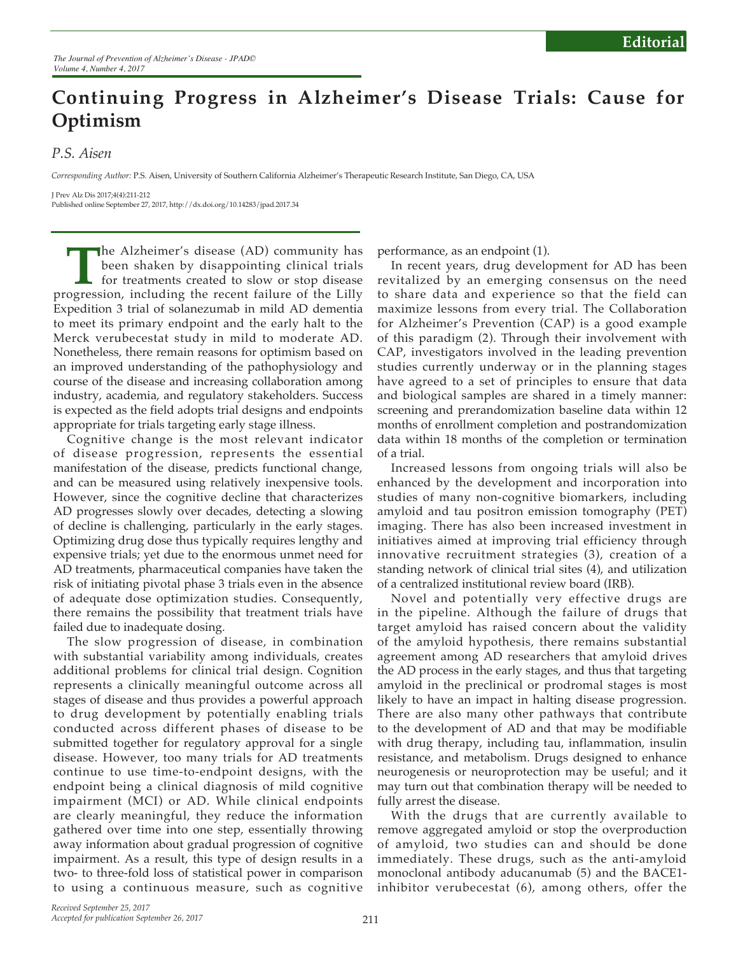## **Continuing Progress in Alzheimer's Disease Trials: Cause for Optimism**

*P.S. Aisen*

*Corresponding Author:* P.S. Aisen, University of Southern California Alzheimer's Therapeutic Research Institute, San Diego, CA, USA

J Prev Alz Dis 2017;4(4):211-212 Published online September 27, 2017, http://dx.doi.org/10.14283/jpad.2017.34

The Alzheimer's disease (AD) community has<br>been shaken by disappointing clinical trials<br>for treatments created to slow or stop disease<br>ogression, including the recent failure of the Lilly been shaken by disappointing clinical trials for treatments created to slow or stop disease progression, including the recent failure of the Lilly Expedition 3 trial of solanezumab in mild AD dementia to meet its primary endpoint and the early halt to the Merck verubecestat study in mild to moderate AD. Nonetheless, there remain reasons for optimism based on an improved understanding of the pathophysiology and course of the disease and increasing collaboration among industry, academia, and regulatory stakeholders. Success is expected as the field adopts trial designs and endpoints appropriate for trials targeting early stage illness.

Cognitive change is the most relevant indicator of disease progression, represents the essential manifestation of the disease, predicts functional change, and can be measured using relatively inexpensive tools. However, since the cognitive decline that characterizes AD progresses slowly over decades, detecting a slowing of decline is challenging, particularly in the early stages. Optimizing drug dose thus typically requires lengthy and expensive trials; yet due to the enormous unmet need for AD treatments, pharmaceutical companies have taken the risk of initiating pivotal phase 3 trials even in the absence of adequate dose optimization studies. Consequently, there remains the possibility that treatment trials have failed due to inadequate dosing.

The slow progression of disease, in combination with substantial variability among individuals, creates additional problems for clinical trial design. Cognition represents a clinically meaningful outcome across all stages of disease and thus provides a powerful approach to drug development by potentially enabling trials conducted across different phases of disease to be submitted together for regulatory approval for a single disease. However, too many trials for AD treatments continue to use time-to-endpoint designs, with the endpoint being a clinical diagnosis of mild cognitive impairment (MCI) or AD. While clinical endpoints are clearly meaningful, they reduce the information gathered over time into one step, essentially throwing away information about gradual progression of cognitive impairment. As a result, this type of design results in a two- to three-fold loss of statistical power in comparison to using a continuous measure, such as cognitive performance, as an endpoint (1).

In recent years, drug development for AD has been revitalized by an emerging consensus on the need to share data and experience so that the field can maximize lessons from every trial. The Collaboration for Alzheimer's Prevention (CAP) is a good example of this paradigm (2). Through their involvement with CAP, investigators involved in the leading prevention studies currently underway or in the planning stages have agreed to a set of principles to ensure that data and biological samples are shared in a timely manner: screening and prerandomization baseline data within 12 months of enrollment completion and postrandomization data within 18 months of the completion or termination of a trial.

Increased lessons from ongoing trials will also be enhanced by the development and incorporation into studies of many non-cognitive biomarkers, including amyloid and tau positron emission tomography (PET) imaging. There has also been increased investment in initiatives aimed at improving trial efficiency through innovative recruitment strategies (3), creation of a standing network of clinical trial sites (4), and utilization of a centralized institutional review board (IRB).

Novel and potentially very effective drugs are in the pipeline. Although the failure of drugs that target amyloid has raised concern about the validity of the amyloid hypothesis, there remains substantial agreement among AD researchers that amyloid drives the AD process in the early stages, and thus that targeting amyloid in the preclinical or prodromal stages is most likely to have an impact in halting disease progression. There are also many other pathways that contribute to the development of AD and that may be modifiable with drug therapy, including tau, inflammation, insulin resistance, and metabolism. Drugs designed to enhance neurogenesis or neuroprotection may be useful; and it may turn out that combination therapy will be needed to fully arrest the disease.

With the drugs that are currently available to remove aggregated amyloid or stop the overproduction of amyloid, two studies can and should be done immediately. These drugs, such as the anti-amyloid monoclonal antibody aducanumab (5) and the BACE1 inhibitor verubecestat (6), among others, offer the